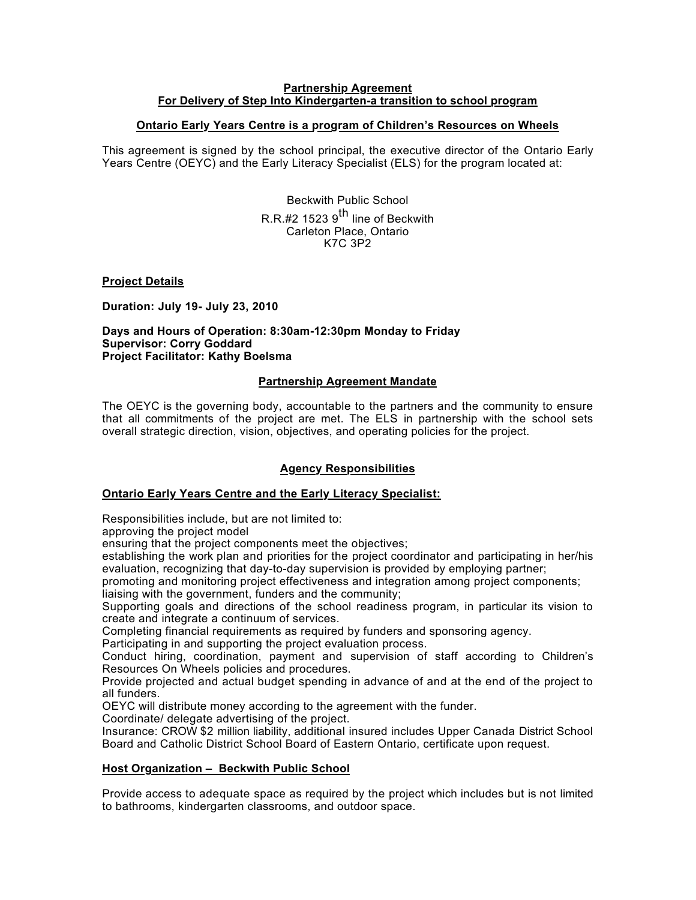#### **Partnership Agreement For Delivery of Step Into Kindergarten-a transition to school program**

## **Ontario Early Years Centre is a program of Children's Resources on Wheels**

This agreement is signed by the school principal, the executive director of the Ontario Early Years Centre (OEYC) and the Early Literacy Specialist (ELS) for the program located at:

> Beckwith Public School R.R.#2 1523  $9<sup>th</sup>$  line of Beckwith Carleton Place, Ontario K7C 3P2

**Project Details**

**Duration: July 19- July 23, 2010**

**Days and Hours of Operation: 8:30am-12:30pm Monday to Friday Supervisor: Corry Goddard Project Facilitator: Kathy Boelsma**

### **Partnership Agreement Mandate**

The OEYC is the governing body, accountable to the partners and the community to ensure that all commitments of the project are met. The ELS in partnership with the school sets overall strategic direction, vision, objectives, and operating policies for the project.

### **Agency Responsibilities**

### **Ontario Early Years Centre and the Early Literacy Specialist:**

Responsibilities include, but are not limited to:

approving the project model

ensuring that the project components meet the objectives;

establishing the work plan and priorities for the project coordinator and participating in her/his evaluation, recognizing that day-to-day supervision is provided by employing partner;

promoting and monitoring project effectiveness and integration among project components; liaising with the government, funders and the community;

Supporting goals and directions of the school readiness program, in particular its vision to create and integrate a continuum of services.

Completing financial requirements as required by funders and sponsoring agency.

Participating in and supporting the project evaluation process.

Conduct hiring, coordination, payment and supervision of staff according to Children's Resources On Wheels policies and procedures.

Provide projected and actual budget spending in advance of and at the end of the project to all funders.

OEYC will distribute money according to the agreement with the funder.

Coordinate/ delegate advertising of the project.

Insurance: CROW \$2 million liability, additional insured includes Upper Canada District School Board and Catholic District School Board of Eastern Ontario, certificate upon request.

### **Host Organization – Beckwith Public School**

Provide access to adequate space as required by the project which includes but is not limited to bathrooms, kindergarten classrooms, and outdoor space.